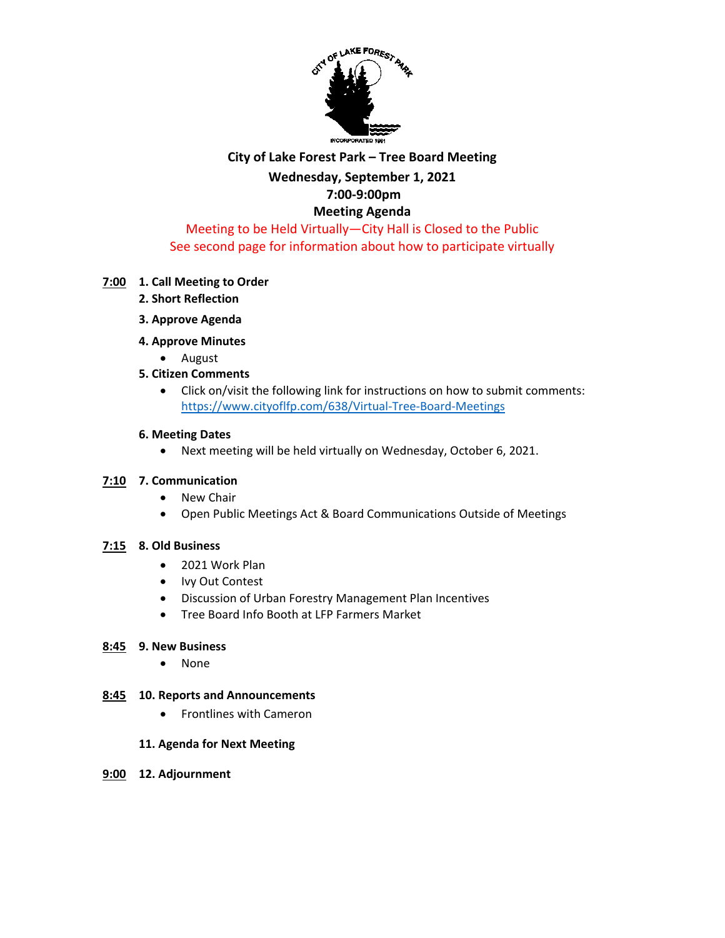

## **City of Lake Forest Park – Tree Board Meeting Wednesday, September 1, 2021 7:00-9:00pm Meeting Agenda**

Meeting to be Held Virtually—City Hall is Closed to the Public See second page for information about how to participate virtually

### **7:00 1. Call Meeting to Order**

- **2. Short Reflection**
- **3. Approve Agenda**
- **4. Approve Minutes** 
	- August
- **5. Citizen Comments**
	- Click on/visit the following link for instructions on how to submit comments: <https://www.cityoflfp.com/638/Virtual-Tree-Board-Meetings>

#### **6. Meeting Dates**

• Next meeting will be held virtually on Wednesday, October 6, 2021.

#### **7:10 7. Communication**

- New Chair
- Open Public Meetings Act & Board Communications Outside of Meetings

#### **7:15 8. Old Business**

- 2021 Work Plan
- Ivy Out Contest
- Discussion of Urban Forestry Management Plan Incentives
- Tree Board Info Booth at LFP Farmers Market

#### **8:45 9. New Business**

• None

#### **8:45 10. Reports and Announcements**

• Frontlines with Cameron

#### **11. Agenda for Next Meeting**

**9:00 12. Adjournment**